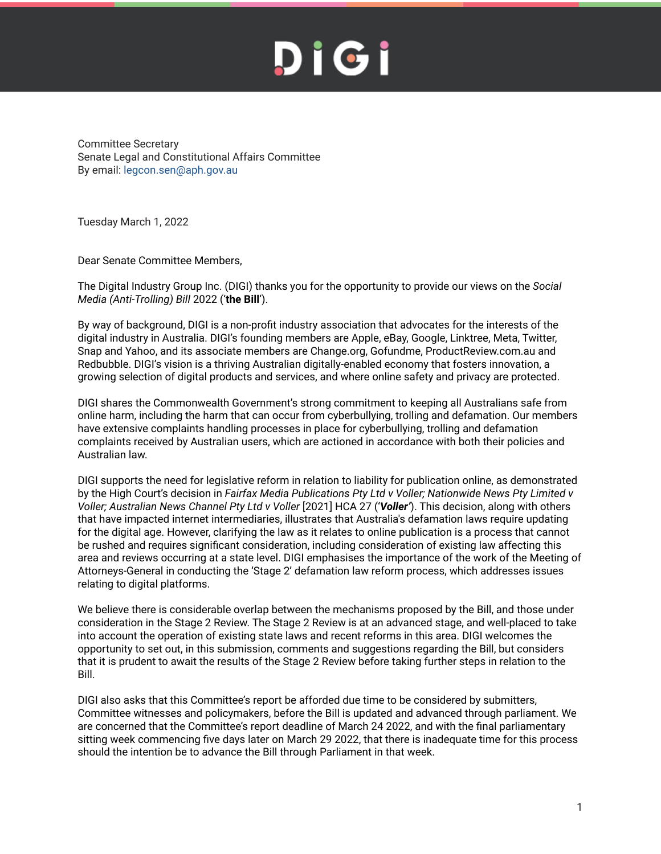Committee Secretary Senate Legal and Constitutional Affairs Committee By email: legcon.sen@aph.gov.au

Tuesday March 1, 2022

Dear Senate Committee Members,

The Digital Industry Group Inc. (DIGI) thanks you for the opportunity to provide our views on the *Social Media (Anti-Trolling) Bill* 2022 ('**the Bill**').

By way of background, DIGI is a non-profit industry association that advocates for the interests of the digital industry in Australia. DIGI's founding members are Apple, eBay, Google, Linktree, Meta, Twitter, Snap and Yahoo, and its associate members are Change.org, Gofundme, ProductReview.com.au and Redbubble. DIGI's vision is a thriving Australian digitally-enabled economy that fosters innovation, a growing selection of digital products and services, and where online safety and privacy are protected.

DIGI shares the Commonwealth Government's strong commitment to keeping all Australians safe from online harm, including the harm that can occur from cyberbullying, trolling and defamation. Our members have extensive complaints handling processes in place for cyberbullying, trolling and defamation complaints received by Australian users, which are actioned in accordance with both their policies and Australian law.

DIGI supports the need for legislative reform in relation to liability for publication online, as demonstrated by the High Court's decision in *Fairfax Media Publications Pty Ltd v Voller; Nationwide News Pty Limited v Voller; Australian News Channel Pty Ltd v Voller* [2021] HCA 27 ('*Voller'*). This decision, along with others that have impacted internet intermediaries, illustrates that Australia's defamation laws require updating for the digital age. However, clarifying the law as it relates to online publication is a process that cannot be rushed and requires significant consideration, including consideration of existing law affecting this area and reviews occurring at a state level. DIGI emphasises the importance of the work of the Meeting of Attorneys-General in conducting the 'Stage 2' defamation law reform process, which addresses issues relating to digital platforms.

We believe there is considerable overlap between the mechanisms proposed by the Bill, and those under consideration in the Stage 2 Review. The Stage 2 Review is at an advanced stage, and well-placed to take into account the operation of existing state laws and recent reforms in this area. DIGI welcomes the opportunity to set out, in this submission, comments and suggestions regarding the Bill, but considers that it is prudent to await the results of the Stage 2 Review before taking further steps in relation to the Bill.

DIGI also asks that this Committee's report be afforded due time to be considered by submitters, Committee witnesses and policymakers, before the Bill is updated and advanced through parliament. We are concerned that the Committee's report deadline of March 24 2022, and with the final parliamentary sitting week commencing five days later on March 29 2022, that there is inadequate time for this process should the intention be to advance the Bill through Parliament in that week.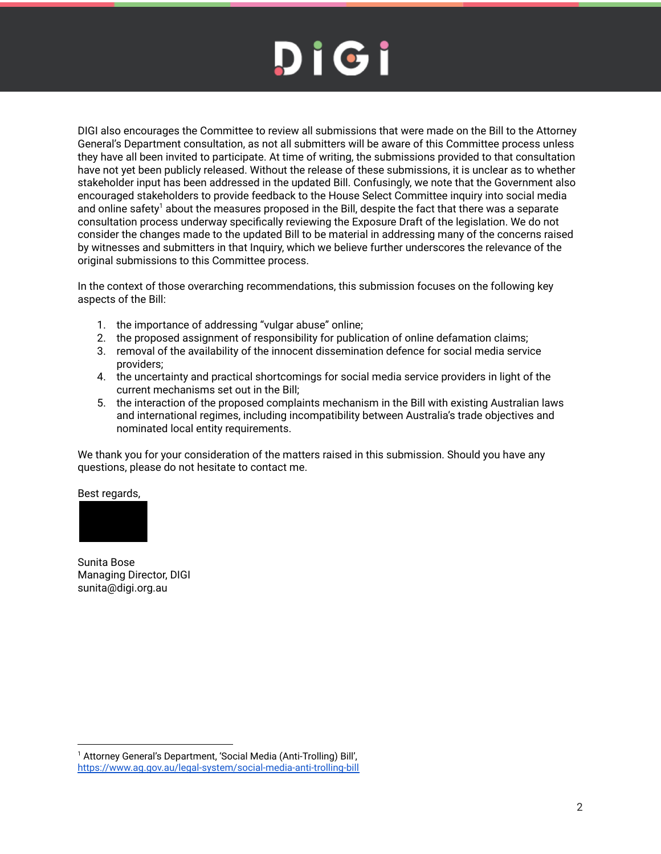DIGI also encourages the Committee to review all submissions that were made on the Bill to the Attorney General's Department consultation, as not all submitters will be aware of this Committee process unless they have all been invited to participate. At time of writing, the submissions provided to that consultation have not yet been publicly released. Without the release of these submissions, it is unclear as to whether stakeholder input has been addressed in the updated Bill. Confusingly, we note that the Government also encouraged stakeholders to provide feedback to the House Select Committee inquiry into social media and online safety $^1$  about the measures proposed in the Bill, despite the fact that there was a separate consultation process underway specifically reviewing the Exposure Draft of the legislation. We do not consider the changes made to the updated Bill to be material in addressing many of the concerns raised by witnesses and submitters in that Inquiry, which we believe further underscores the relevance of the original submissions to this Committee process.

In the context of those overarching recommendations, this submission focuses on the following key aspects of the Bill:

- 1. the importance of addressing "vulgar abuse" online;
- 2. the proposed assignment of responsibility for publication of online defamation claims;
- 3. removal of the availability of the innocent dissemination defence for social media service providers;
- 4. the uncertainty and practical shortcomings for social media service providers in light of the current mechanisms set out in the Bill;
- 5. the interaction of the proposed complaints mechanism in the Bill with existing Australian laws and international regimes, including incompatibility between Australia's trade objectives and nominated local entity requirements.

We thank you for your consideration of the matters raised in this submission. Should you have any questions, please do not hesitate to contact me.

Best regards,



Sunita Bose Managing Director, DIGI sunita@digi.org.au

<sup>&</sup>lt;sup>1</sup> Attorney General's Department, 'Social Media (Anti-Trolling) Bill', <https://www.ag.gov.au/legal-system/social-media-anti-trolling-bill>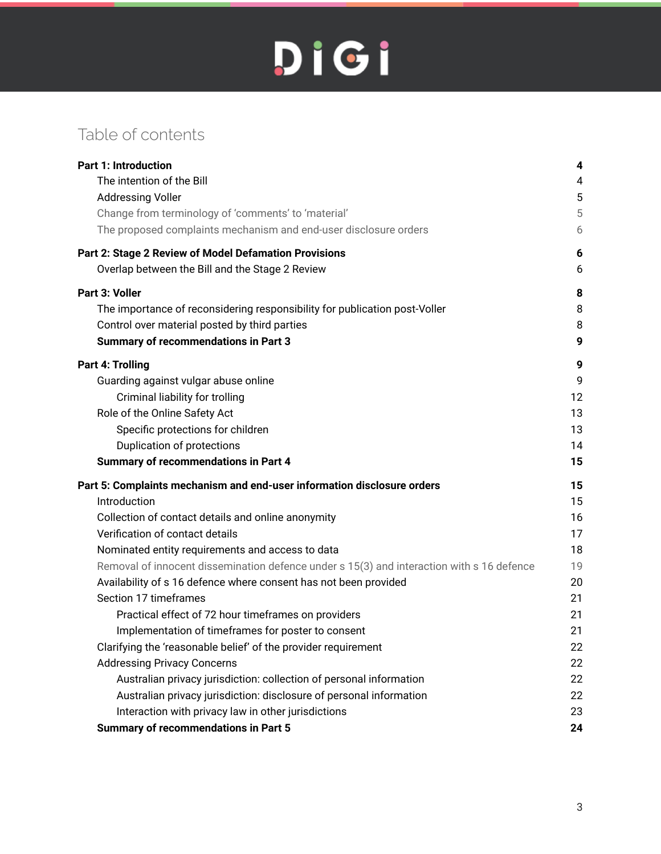## Table of contents

| <b>Part 1: Introduction</b>                                                               | 4  |
|-------------------------------------------------------------------------------------------|----|
| The intention of the Bill                                                                 | 4  |
| <b>Addressing Voller</b>                                                                  | 5  |
| Change from terminology of 'comments' to 'material'                                       | 5  |
| The proposed complaints mechanism and end-user disclosure orders                          | 6  |
| Part 2: Stage 2 Review of Model Defamation Provisions                                     | 6  |
| Overlap between the Bill and the Stage 2 Review                                           | 6  |
| Part 3: Voller                                                                            | 8  |
| The importance of reconsidering responsibility for publication post-Voller                | 8  |
| Control over material posted by third parties                                             | 8  |
| <b>Summary of recommendations in Part 3</b>                                               | 9  |
| <b>Part 4: Trolling</b>                                                                   | 9  |
| Guarding against vulgar abuse online                                                      | 9  |
| Criminal liability for trolling                                                           | 12 |
| Role of the Online Safety Act                                                             | 13 |
| Specific protections for children                                                         | 13 |
| Duplication of protections                                                                | 14 |
| <b>Summary of recommendations in Part 4</b>                                               | 15 |
| Part 5: Complaints mechanism and end-user information disclosure orders                   | 15 |
| Introduction                                                                              | 15 |
| Collection of contact details and online anonymity                                        | 16 |
| Verification of contact details                                                           | 17 |
| Nominated entity requirements and access to data                                          | 18 |
| Removal of innocent dissemination defence under s 15(3) and interaction with s 16 defence | 19 |
| Availability of s 16 defence where consent has not been provided                          | 20 |
| Section 17 timeframes                                                                     | 21 |
| Practical effect of 72 hour timeframes on providers                                       | 21 |
| Implementation of timeframes for poster to consent                                        | 21 |
| Clarifying the 'reasonable belief' of the provider requirement                            | 22 |
| <b>Addressing Privacy Concerns</b>                                                        | 22 |
| Australian privacy jurisdiction: collection of personal information                       | 22 |
| Australian privacy jurisdiction: disclosure of personal information                       | 22 |
| Interaction with privacy law in other jurisdictions                                       | 23 |
| <b>Summary of recommendations in Part 5</b>                                               | 24 |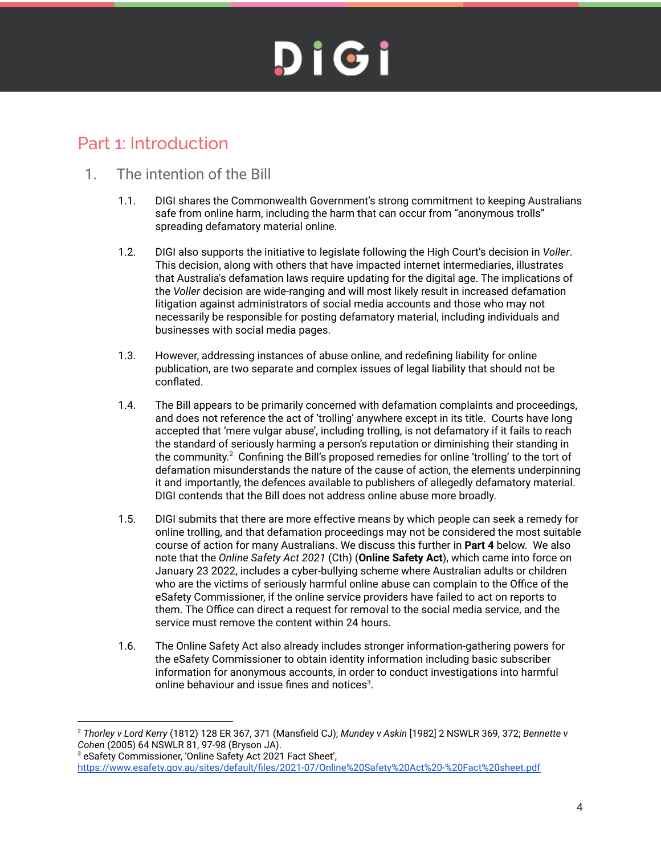### <span id="page-3-0"></span>Part 1: Introduction

### <span id="page-3-1"></span>1. The intention of the Bill

- 1.1. DIGI shares the Commonwealth Government's strong commitment to keeping Australians safe from online harm, including the harm that can occur from "anonymous trolls" spreading defamatory material online.
- 1.2. DIGI also supports the initiative to legislate following the High Court's decision in *Voller*. This decision, along with others that have impacted internet intermediaries, illustrates that Australia's defamation laws require updating for the digital age. The implications of the *Voller* decision are wide-ranging and will most likely result in increased defamation litigation against administrators of social media accounts and those who may not necessarily be responsible for posting defamatory material, including individuals and businesses with social media pages.
- 1.3. However, addressing instances of abuse online, and redefining liability for online publication, are two separate and complex issues of legal liability that should not be conflated.
- 1.4. The Bill appears to be primarily concerned with defamation complaints and proceedings, and does not reference the act of 'trolling' anywhere except in its title. Courts have long accepted that 'mere vulgar abuse', including trolling, is not defamatory if it fails to reach the standard of seriously harming a person's reputation or diminishing their standing in the community. $^2$  Confining the Bill's proposed remedies for online 'trolling' to the tort of defamation misunderstands the nature of the cause of action, the elements underpinning it and importantly, the defences available to publishers of allegedly defamatory material. DIGI contends that the Bill does not address online abuse more broadly.
- 1.5. DIGI submits that there are more effective means by which people can seek a remedy for online trolling, and that defamation proceedings may not be considered the most suitable course of action for many Australians. We discuss this further in **Part 4** below. We also note that the *Online Safety Act 2021* (Cth) (**Online Safety Act**), which came into force on January 23 2022, includes a cyber-bullying scheme where Australian adults or children who are the victims of seriously harmful online abuse can complain to the Office of the eSafety Commissioner, if the online service providers have failed to act on reports to them. The Office can direct a request for removal to the social media service, and the service must remove the content within 24 hours.
- 1.6. The Online Safety Act also already includes stronger information-gathering powers for the eSafety Commissioner to obtain identity information including basic subscriber information for anonymous accounts, in order to conduct investigations into harmful online behaviour and issue fines and notices $^3$ .

<sup>2</sup> *Thorley v Lord Kerry* (1812) 128 ER 367, 371 (Mansfield CJ); *Mundey v Askin* [1982] 2 NSWLR 369, 372; *Bennette v Cohen* (2005) 64 NSWLR 81, 97-98 (Bryson JA).

<sup>3</sup> eSafety Commissioner, 'Online Safety Act 2021 Fact Sheet', https://www.esafety.gov.au/sites/default/files/2021-07/Online%20Safety%20Act%20-%20Fact%20sheet.pdf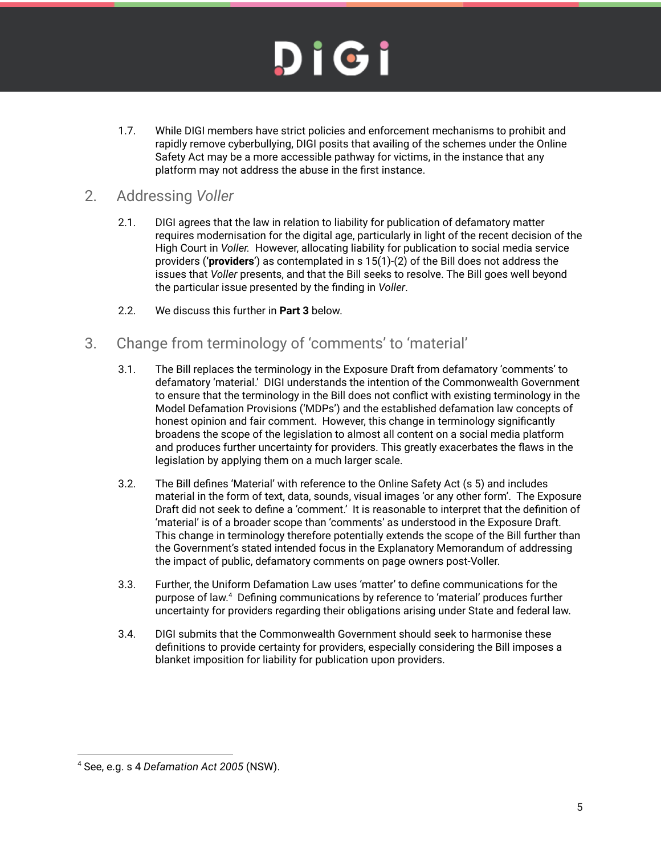# DIGI

1.7. While DIGI members have strict policies and enforcement mechanisms to prohibit and rapidly remove cyberbullying, DIGI posits that availing of the schemes under the Online Safety Act may be a more accessible pathway for victims, in the instance that any platform may not address the abuse in the first instance.

### <span id="page-4-0"></span>2. Addressing *Voller*

- 2.1. DIGI agrees that the law in relation to liability for publication of defamatory matter requires modernisation for the digital age, particularly in light of the recent decision of the High Court in *Voller.* However, allocating liability for publication to social media service providers (**'providers**') as contemplated in s 15(1)-(2) of the Bill does not address the issues that *Voller* presents, and that the Bill seeks to resolve. The Bill goes well beyond the particular issue presented by the finding in *Voller*.
- 2.2. We discuss this further in **Part 3** below.

### <span id="page-4-1"></span>3. Change from terminology of 'comments' to 'material'

- 3.1. The Bill replaces the terminology in the Exposure Draft from defamatory 'comments' to defamatory 'material.' DIGI understands the intention of the Commonwealth Government to ensure that the terminology in the Bill does not conflict with existing terminology in the Model Defamation Provisions ('MDPs') and the established defamation law concepts of honest opinion and fair comment. However, this change in terminology significantly broadens the scope of the legislation to almost all content on a social media platform and produces further uncertainty for providers. This greatly exacerbates the flaws in the legislation by applying them on a much larger scale.
- 3.2. The Bill defines 'Material' with reference to the Online Safety Act (s 5) and includes material in the form of text, data, sounds, visual images 'or any other form'. The Exposure Draft did not seek to define a 'comment.' It is reasonable to interpret that the definition of 'material' is of a broader scope than 'comments' as understood in the Exposure Draft. This change in terminology therefore potentially extends the scope of the Bill further than the Government's stated intended focus in the Explanatory Memorandum of addressing the impact of public, defamatory comments on page owners post-Voller.
- 3.3. Further, the Uniform Defamation Law uses 'matter' to define communications for the purpose of law.<sup>4</sup> Defining communications by reference to 'material' produces further uncertainty for providers regarding their obligations arising under State and federal law.
- 3.4. DIGI submits that the Commonwealth Government should seek to harmonise these definitions to provide certainty for providers, especially considering the Bill imposes a blanket imposition for liability for publication upon providers.

<sup>4</sup> See, e.g. s 4 *Defamation Act 2005* (NSW).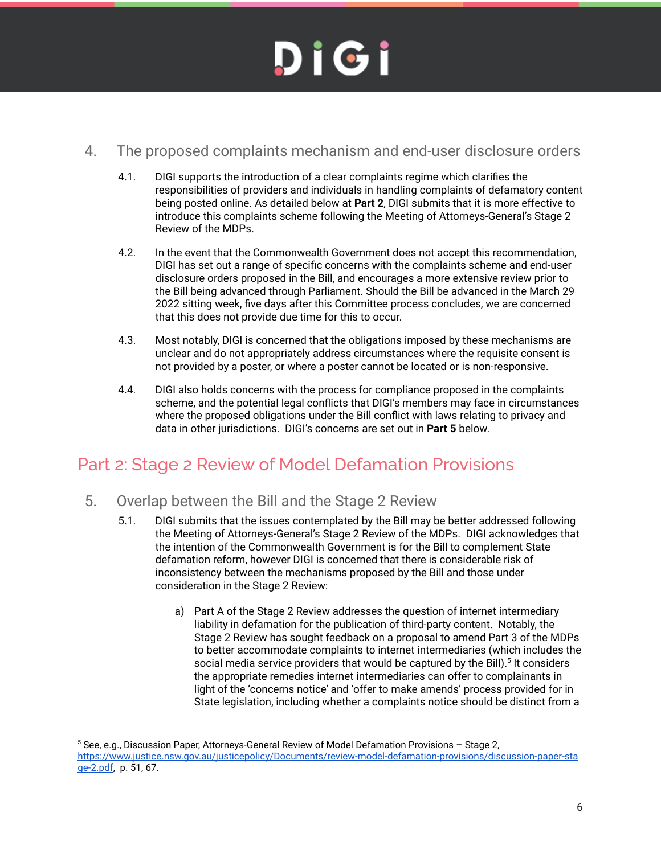### <span id="page-5-0"></span>4. The proposed complaints mechanism and end-user disclosure orders

- 4.1. DIGI supports the introduction of a clear complaints regime which clarifies the responsibilities of providers and individuals in handling complaints of defamatory content being posted online. As detailed below at **Part 2**, DIGI submits that it is more effective to introduce this complaints scheme following the Meeting of Attorneys-General's Stage 2 Review of the MDPs.
- 4.2. In the event that the Commonwealth Government does not accept this recommendation, DIGI has set out a range of specific concerns with the complaints scheme and end-user disclosure orders proposed in the Bill, and encourages a more extensive review prior to the Bill being advanced through Parliament. Should the Bill be advanced in the March 29 2022 sitting week, five days after this Committee process concludes, we are concerned that this does not provide due time for this to occur.
- 4.3. Most notably, DIGI is concerned that the obligations imposed by these mechanisms are unclear and do not appropriately address circumstances where the requisite consent is not provided by a poster, or where a poster cannot be located or is non-responsive.
- 4.4. DIGI also holds concerns with the process for compliance proposed in the complaints scheme, and the potential legal conflicts that DIGI's members may face in circumstances where the proposed obligations under the Bill conflict with laws relating to privacy and data in other jurisdictions. DIGI's concerns are set out in **Part 5** below.

### <span id="page-5-1"></span>Part 2: Stage 2 Review of Model Defamation Provisions

### <span id="page-5-2"></span>5. Overlap between the Bill and the Stage 2 Review

- 5.1. DIGI submits that the issues contemplated by the Bill may be better addressed following the Meeting of Attorneys-General's Stage 2 Review of the MDPs. DIGI acknowledges that the intention of the Commonwealth Government is for the Bill to complement State defamation reform, however DIGI is concerned that there is considerable risk of inconsistency between the mechanisms proposed by the Bill and those under consideration in the Stage 2 Review:
	- a) Part A of the Stage 2 Review addresses the question of internet intermediary liability in defamation for the publication of third-party content. Notably, the Stage 2 Review has sought feedback on a proposal to amend Part 3 of the MDPs to better accommodate complaints to internet intermediaries (which includes the social media service providers that would be captured by the Bill).<sup>5</sup> It considers the appropriate remedies internet intermediaries can offer to complainants in light of the 'concerns notice' and 'offer to make amends' process provided for in State legislation, including whether a complaints notice should be distinct from a

 $5$  See, e.g., Discussion Paper, Attorneys-General Review of Model Defamation Provisions – Stage 2, [https://www.justice.nsw.gov.au/justicepolicy/Documents/review-model-defamation-provisions/discussion-paper-sta](https://www.justice.nsw.gov.au/justicepolicy/Documents/review-model-defamation-provisions/discussion-paper-stage-2.pdf) [ge-2.pdf,](https://www.justice.nsw.gov.au/justicepolicy/Documents/review-model-defamation-provisions/discussion-paper-stage-2.pdf) p. 51, 67.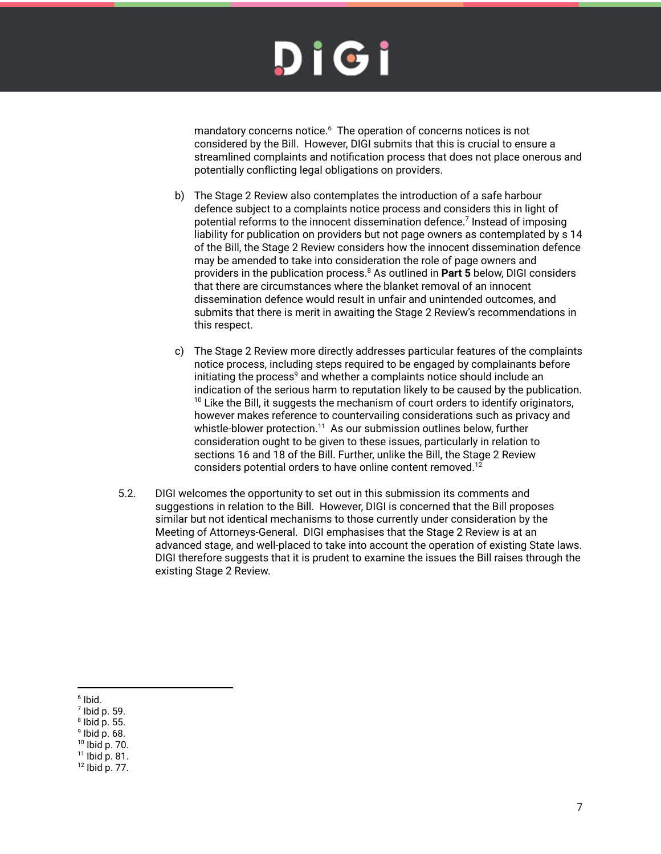mandatory concerns notice. $6$  The operation of concerns notices is not considered by the Bill. However, DIGI submits that this is crucial to ensure a streamlined complaints and notification process that does not place onerous and potentially conflicting legal obligations on providers.

- b) The Stage 2 Review also contemplates the introduction of a safe harbour defence subject to a complaints notice process and considers this in light of potential reforms to the innocent dissemination defence.<sup>7</sup> Instead of imposing liability for publication on providers but not page owners as contemplated by s 14 of the Bill, the Stage 2 Review considers how the innocent dissemination defence may be amended to take into consideration the role of page owners and providers in the publication process.<sup>8</sup> As outlined in **Part 5** below, DIGI considers that there are circumstances where the blanket removal of an innocent dissemination defence would result in unfair and unintended outcomes, and submits that there is merit in awaiting the Stage 2 Review's recommendations in this respect.
- c) The Stage 2 Review more directly addresses particular features of the complaints notice process, including steps required to be engaged by complainants before initiating the process $^{\circ}$  and whether a complaints notice should include an indication of the serious harm to reputation likely to be caused by the publication.  $10$  Like the Bill, it suggests the mechanism of court orders to identify originators, however makes reference to countervailing considerations such as privacy and whistle-blower protection. $^{11}$  As our submission outlines below, further consideration ought to be given to these issues, particularly in relation to sections 16 and 18 of the Bill. Further, unlike the Bill, the Stage 2 Review considers potential orders to have online content removed.<sup>12</sup>
- 5.2. DIGI welcomes the opportunity to set out in this submission its comments and suggestions in relation to the Bill. However, DIGI is concerned that the Bill proposes similar but not identical mechanisms to those currently under consideration by the Meeting of Attorneys-General. DIGI emphasises that the Stage 2 Review is at an advanced stage, and well-placed to take into account the operation of existing State laws. DIGI therefore suggests that it is prudent to examine the issues the Bill raises through the existing Stage 2 Review.

9 Ibid p. 68.

<sup>6</sup> Ibid.

 $<sup>7</sup>$  lbid p. 59.</sup>

<sup>8</sup> Ibid p. 55.

<sup>10</sup> Ibid p. 70.

 $11$  lbid p. 81.

<sup>12</sup> Ibid p. 77.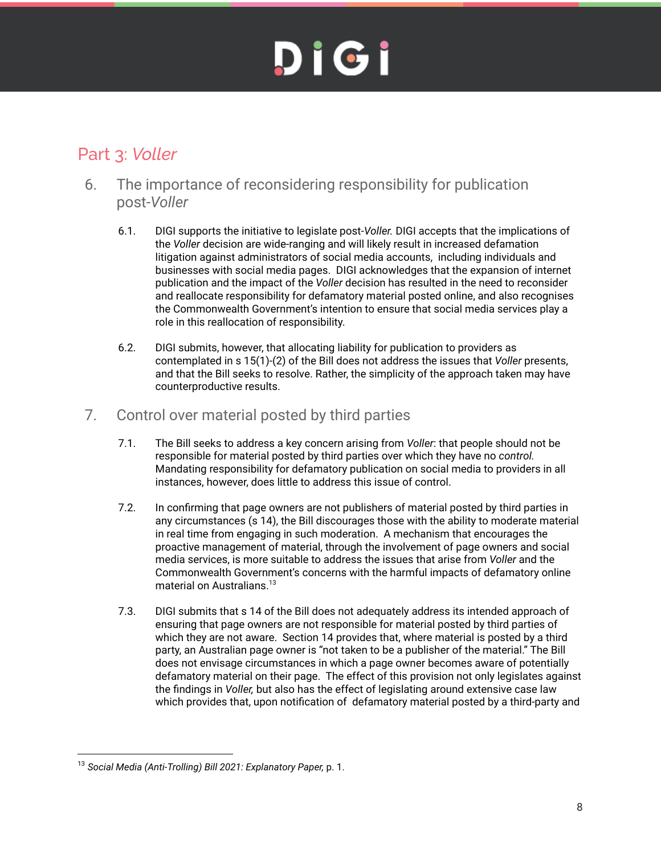## <span id="page-7-0"></span>Part 3: *Voller*

- <span id="page-7-1"></span>6. The importance of reconsidering responsibility for publication post-*Voller*
	- 6.1. DIGI supports the initiative to legislate post-*Voller.* DIGI accepts that the implications of the *Voller* decision are wide-ranging and will likely result in increased defamation litigation against administrators of social media accounts, including individuals and businesses with social media pages. DIGI acknowledges that the expansion of internet publication and the impact of the *Voller* decision has resulted in the need to reconsider and reallocate responsibility for defamatory material posted online, and also recognises the Commonwealth Government's intention to ensure that social media services play a role in this reallocation of responsibility.
	- 6.2. DIGI submits, however, that allocating liability for publication to providers as contemplated in s 15(1)-(2) of the Bill does not address the issues that *Voller* presents, and that the Bill seeks to resolve. Rather, the simplicity of the approach taken may have counterproductive results.

### <span id="page-7-2"></span>7. Control over material posted by third parties

- 7.1. The Bill seeks to address a key concern arising from *Voller*: that people should not be responsible for material posted by third parties over which they have no *control.* Mandating responsibility for defamatory publication on social media to providers in all instances, however, does little to address this issue of control.
- 7.2. In confirming that page owners are not publishers of material posted by third parties in any circumstances (s 14), the Bill discourages those with the ability to moderate material in real time from engaging in such moderation. A mechanism that encourages the proactive management of material, through the involvement of page owners and social media services, is more suitable to address the issues that arise from *Voller* and the Commonwealth Government's concerns with the harmful impacts of defamatory online material on Australians. 13
- 7.3. DIGI submits that s 14 of the Bill does not adequately address its intended approach of ensuring that page owners are not responsible for material posted by third parties of which they are not aware. Section 14 provides that, where material is posted by a third party, an Australian page owner is "not taken to be a publisher of the material." The Bill does not envisage circumstances in which a page owner becomes aware of potentially defamatory material on their page. The effect of this provision not only legislates against the findings in *Voller,* but also has the effect of legislating around extensive case law which provides that, upon notification of defamatory material posted by a third-party and

<sup>13</sup> *Social Media (Anti-Trolling) Bill 2021: Explanatory Paper,* p. 1.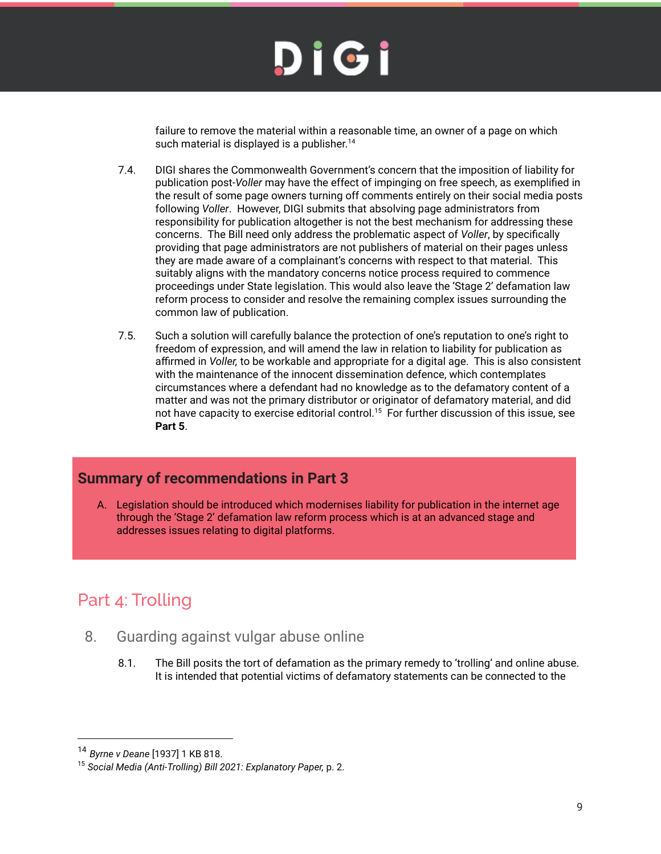failure to remove the material within a reasonable time, an owner of a page on which such material is displayed is a publisher.<sup>14</sup>

- 7.4. DIGI shares the Commonwealth Government's concern that the imposition of liability for publication post-*Voller* may have the effect of impinging on free speech, as exemplified in the result of some page owners turning off comments entirely on their social media posts following *Voller*. However, DIGI submits that absolving page administrators from responsibility for publication altogether is not the best mechanism for addressing these concerns. The Bill need only address the problematic aspect of *Voller*, by specifically providing that page administrators are not publishers of material on their pages unless they are made aware of a complainant's concerns with respect to that material. This suitably aligns with the mandatory concerns notice process required to commence proceedings under State legislation. This would also leave the 'Stage 2' defamation law reform process to consider and resolve the remaining complex issues surrounding the common law of publication.
- 7.5. Such a solution will carefully balance the protection of one's reputation to one's right to freedom of expression, and will amend the law in relation to liability for publication as affirmed in *Voller,* to be workable and appropriate for a digital age. This is also consistent with the maintenance of the innocent dissemination defence, which contemplates circumstances where a defendant had no knowledge as to the defamatory content of a matter and was not the primary distributor or originator of defamatory material, and did not have capacity to exercise editorial control. $^{15}$  For further discussion of this issue, see **Part 5**.

### <span id="page-8-0"></span>**Summary of recommendations in Part 3**

A. Legislation should be introduced which modernises liability for publication in the internet age through the 'Stage 2' defamation law reform process which is at an advanced stage and addresses issues relating to digital platforms.

## <span id="page-8-1"></span>Part 4: Trolling

- <span id="page-8-2"></span>8. Guarding against vulgar abuse online
	- 8.1. The Bill posits the tort of defamation as the primary remedy to 'trolling' and online abuse. It is intended that potential victims of defamatory statements can be connected to the

<sup>14</sup> *Byrne v Deane* [1937] 1 KB 818.

<sup>15</sup> *Social Media (Anti-Trolling) Bill 2021: Explanatory Paper,* p. 2.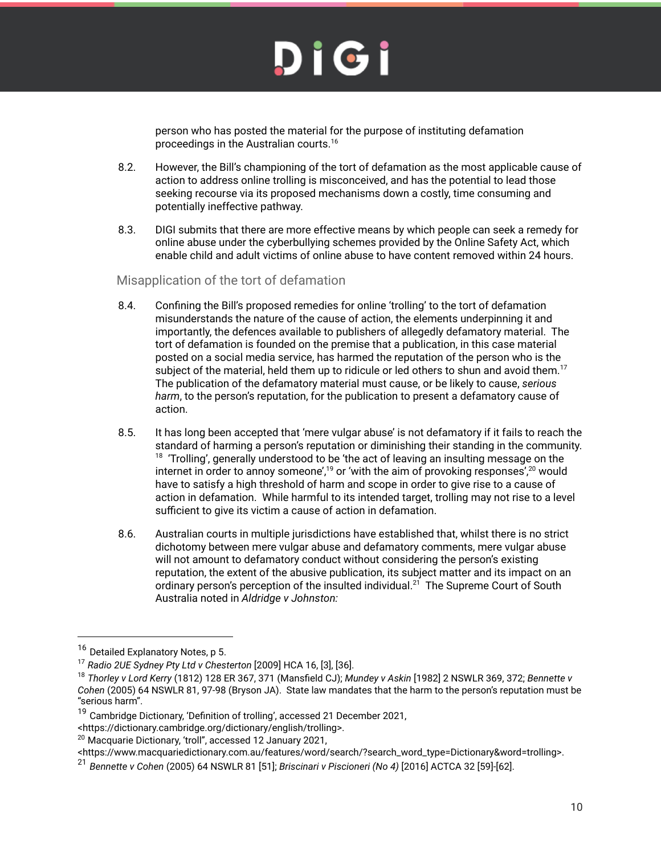person who has posted the material for the purpose of instituting defamation proceedings in the Australian courts. 16

- 8.2. However, the Bill's championing of the tort of defamation as the most applicable cause of action to address online trolling is misconceived, and has the potential to lead those seeking recourse via its proposed mechanisms down a costly, time consuming and potentially ineffective pathway.
- 8.3. DIGI submits that there are more effective means by which people can seek a remedy for online abuse under the cyberbullying schemes provided by the Online Safety Act, which enable child and adult victims of online abuse to have content removed within 24 hours.

#### Misapplication of the tort of defamation

- 8.4. Confining the Bill's proposed remedies for online 'trolling' to the tort of defamation misunderstands the nature of the cause of action, the elements underpinning it and importantly, the defences available to publishers of allegedly defamatory material. The tort of defamation is founded on the premise that a publication, in this case material posted on a social media service, has harmed the reputation of the person who is the subject of the material, held them up to ridicule or led others to shun and avoid them.<sup>17</sup> The publication of the defamatory material must cause, or be likely to cause, *serious harm*, to the person's reputation, for the publication to present a defamatory cause of action.
- 8.5. It has long been accepted that 'mere vulgar abuse' is not defamatory if it fails to reach the standard of harming a person's reputation or diminishing their standing in the community.  $18$  'Trolling', generally understood to be 'the act of leaving an insulting message on the internet in order to annoy someone',<sup>19</sup> or 'with the aim of provoking responses',<sup>20</sup> would have to satisfy a high threshold of harm and scope in order to give rise to a cause of action in defamation. While harmful to its intended target, trolling may not rise to a level sufficient to give its victim a cause of action in defamation.
- 8.6. Australian courts in multiple jurisdictions have established that, whilst there is no strict dichotomy between mere vulgar abuse and defamatory comments, mere vulgar abuse will not amount to defamatory conduct without considering the person's existing reputation, the extent of the abusive publication, its subject matter and its impact on an ordinary person's perception of the insulted individual.<sup>21</sup> The Supreme Court of South Australia noted in *Aldridge v Johnston:*

<sup>&</sup>lt;sup>16</sup> Detailed Explanatory Notes, p 5.

<sup>17</sup> *Radio 2UE Sydney Pty Ltd v Chesterton* [2009] HCA 16, [3], [36].

<sup>18</sup> *Thorley v Lord Kerry* (1812) 128 ER 367, 371 (Mansfield CJ); *Mundey v Askin* [1982] 2 NSWLR 369, 372; *Bennette v Cohen* (2005) 64 NSWLR 81, 97-98 (Bryson JA). State law mandates that the harm to the person's reputation must be "serious harm".

<sup>&</sup>lt;sup>19</sup> Cambridge Dictionary, 'Definition of trolling', accessed 21 December 2021,

<sup>&</sup>lt;https://dictionary.cambridge.org/dictionary/english/trolling>.

<sup>&</sup>lt;sup>20</sup> Macquarie Dictionary, 'troll", accessed 12 January 2021,

<sup>&</sup>lt;https://www.macquariedictionary.com.au/features/word/search/?search\_word\_type=Dictionary&word=trolling>.

<sup>21</sup> *Bennette v Cohen* (2005) 64 NSWLR 81 [51]; *Briscinari v Piscioneri (No 4)* [2016] ACTCA 32 [59]-[62].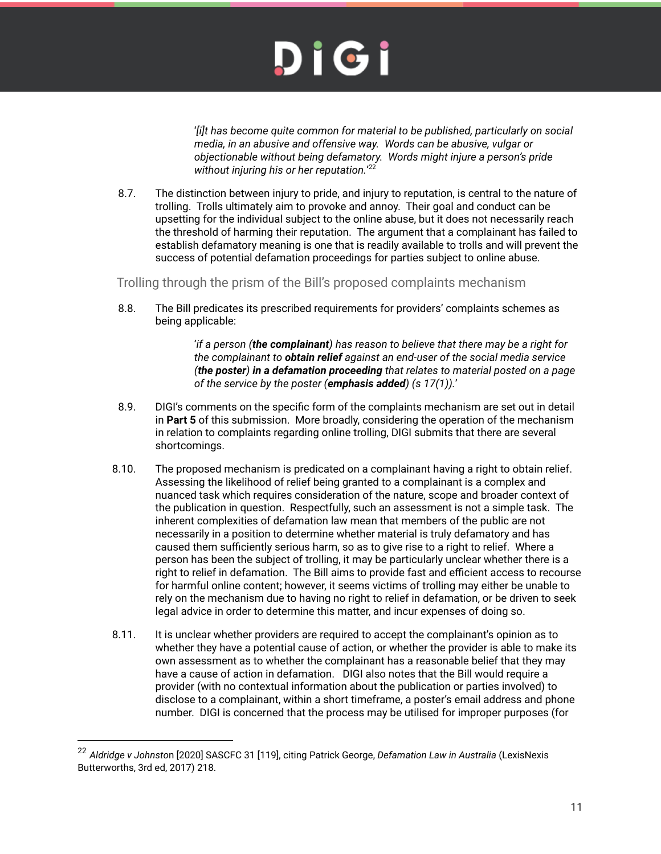'*[i]t has become quite common for material to be published, particularly on social media, in an abusive and offensive way. Words can be abusive, vulgar or objectionable without being defamatory. Words might injure a person's pride without injuring his or her reputation.*' 22

8.7. The distinction between injury to pride, and injury to reputation, is central to the nature of trolling. Trolls ultimately aim to provoke and annoy. Their goal and conduct can be upsetting for the individual subject to the online abuse, but it does not necessarily reach the threshold of harming their reputation. The argument that a complainant has failed to establish defamatory meaning is one that is readily available to trolls and will prevent the success of potential defamation proceedings for parties subject to online abuse.

Trolling through the prism of the Bill's proposed complaints mechanism

8.8. The Bill predicates its prescribed requirements for providers' complaints schemes as being applicable:

> '*if a person (the complainant) has reason to believe that there may be a right for the complainant to obtain relief against an end-user of the social media service (the poster) in a defamation proceeding that relates to material posted on a page of the service by the poster (emphasis added) (s 17(1)).*'

- 8.9. DIGI's comments on the specific form of the complaints mechanism are set out in detail in **Part 5** of this submission. More broadly, considering the operation of the mechanism in relation to complaints regarding online trolling, DIGI submits that there are several shortcomings.
- 8.10. The proposed mechanism is predicated on a complainant having a right to obtain relief. Assessing the likelihood of relief being granted to a complainant is a complex and nuanced task which requires consideration of the nature, scope and broader context of the publication in question. Respectfully, such an assessment is not a simple task. The inherent complexities of defamation law mean that members of the public are not necessarily in a position to determine whether material is truly defamatory and has caused them sufficiently serious harm, so as to give rise to a right to relief. Where a person has been the subject of trolling, it may be particularly unclear whether there is a right to relief in defamation. The Bill aims to provide fast and efficient access to recourse for harmful online content; however, it seems victims of trolling may either be unable to rely on the mechanism due to having no right to relief in defamation, or be driven to seek legal advice in order to determine this matter, and incur expenses of doing so.
- 8.11. It is unclear whether providers are required to accept the complainant's opinion as to whether they have a potential cause of action, or whether the provider is able to make its own assessment as to whether the complainant has a reasonable belief that they may have a cause of action in defamation. DIGI also notes that the Bill would require a provider (with no contextual information about the publication or parties involved) to disclose to a complainant, within a short timeframe, a poster's email address and phone number. DIGI is concerned that the process may be utilised for improper purposes (for

<sup>22</sup> *Aldridge v Johnsto*n [2020] SASCFC 31 [119], citing Patrick George, *Defamation Law in Australia* (LexisNexis Butterworths, 3rd ed, 2017) 218.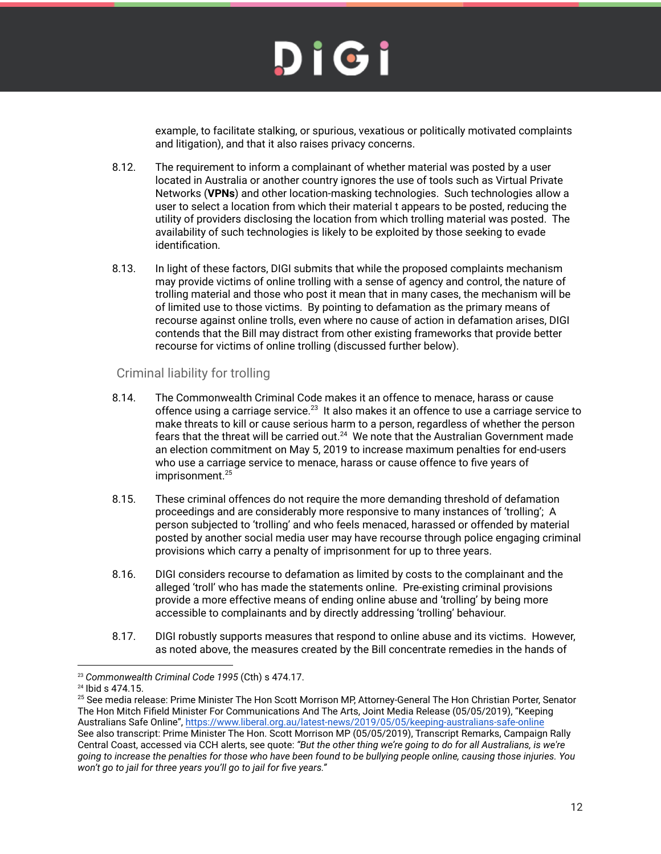

example, to facilitate stalking, or spurious, vexatious or politically motivated complaints and litigation), and that it also raises privacy concerns.

- 8.12. The requirement to inform a complainant of whether material was posted by a user located in Australia or another country ignores the use of tools such as Virtual Private Networks (**VPNs**) and other location-masking technologies. Such technologies allow a user to select a location from which their material t appears to be posted, reducing the utility of providers disclosing the location from which trolling material was posted. The availability of such technologies is likely to be exploited by those seeking to evade identification.
- 8.13. In light of these factors, DIGI submits that while the proposed complaints mechanism may provide victims of online trolling with a sense of agency and control, the nature of trolling material and those who post it mean that in many cases, the mechanism will be of limited use to those victims. By pointing to defamation as the primary means of recourse against online trolls, even where no cause of action in defamation arises, DIGI contends that the Bill may distract from other existing frameworks that provide better recourse for victims of online trolling (discussed further below).

#### <span id="page-11-0"></span>Criminal liability for trolling

- 8.14. The Commonwealth Criminal Code makes it an offence to menace, harass or cause offence using a carriage service. $^{23}$  It also makes it an offence to use a carriage service to make threats to kill or cause serious harm to a person, regardless of whether the person fears that the threat will be carried out. $^{24}$  We note that the Australian Government made an election commitment on May 5, 2019 to increase maximum penalties for end-users who use a carriage service to menace, harass or cause offence to five years of imprisonment. 25
- 8.15. These criminal offences do not require the more demanding threshold of defamation proceedings and are considerably more responsive to many instances of 'trolling'; A person subjected to 'trolling' and who feels menaced, harassed or offended by material posted by another social media user may have recourse through police engaging criminal provisions which carry a penalty of imprisonment for up to three years.
- 8.16. DIGI considers recourse to defamation as limited by costs to the complainant and the alleged 'troll' who has made the statements online. Pre-existing criminal provisions provide a more effective means of ending online abuse and 'trolling' by being more accessible to complainants and by directly addressing 'trolling' behaviour.
- 8.17. DIGI robustly supports measures that respond to online abuse and its victims. However, as noted above, the measures created by the Bill concentrate remedies in the hands of

<sup>23</sup> *Commonwealth Criminal Code 1995* (Cth) s 474.17.

<sup>24</sup> Ibid s 474.15.

<sup>&</sup>lt;sup>25</sup> See media release: Prime Minister The Hon Scott Morrison MP, Attorney-General The Hon Christian Porter, Senator The Hon Mitch Fifield Minister For Communications And The Arts, Joint Media Release (05/05/2019), "Keeping Australians Safe Online", <https://www.liberal.org.au/latest-news/2019/05/05/keeping-australians-safe-online> See also transcript: Prime Minister The Hon. Scott Morrison MP (05/05/2019), Transcript Remarks, Campaign Rally Central Coast, accessed via CCH alerts, see quote: *"But the other thing we're going to do for all Australians, is we're going to increase the penalties for those who have been found to be bullying people online, causing those injuries. You won't go to jail for three years you'll go to jail for five years."*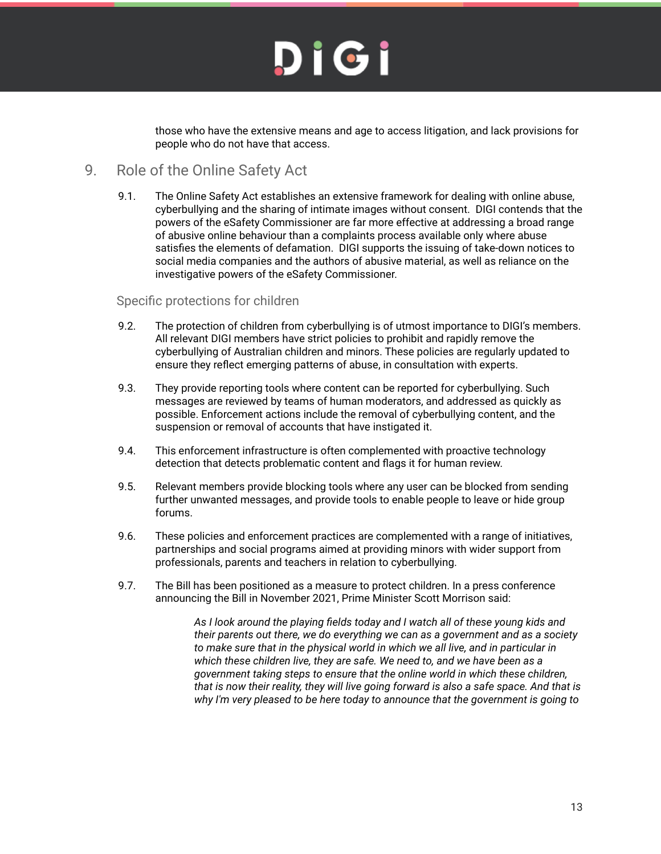

those who have the extensive means and age to access litigation, and lack provisions for people who do not have that access.

### <span id="page-12-0"></span>9. Role of the Online Safety Act

9.1. The Online Safety Act establishes an extensive framework for dealing with online abuse, cyberbullying and the sharing of intimate images without consent. DIGI contends that the powers of the eSafety Commissioner are far more effective at addressing a broad range of abusive online behaviour than a complaints process available only where abuse satisfies the elements of defamation. DIGI supports the issuing of take-down notices to social media companies and the authors of abusive material, as well as reliance on the investigative powers of the eSafety Commissioner.

#### <span id="page-12-1"></span>Specific protections for children

- 9.2. The protection of children from cyberbullying is of utmost importance to DIGI's members. All relevant DIGI members have strict policies to prohibit and rapidly remove the cyberbullying of Australian children and minors. These policies are regularly updated to ensure they reflect emerging patterns of abuse, in consultation with experts.
- 9.3. They provide reporting tools where content can be reported for cyberbullying. Such messages are reviewed by teams of human moderators, and addressed as quickly as possible. Enforcement actions include the removal of cyberbullying content, and the suspension or removal of accounts that have instigated it.
- 9.4. This enforcement infrastructure is often complemented with proactive technology detection that detects problematic content and flags it for human review.
- 9.5. Relevant members provide blocking tools where any user can be blocked from sending further unwanted messages, and provide tools to enable people to leave or hide group forums.
- 9.6. These policies and enforcement practices are complemented with a range of initiatives, partnerships and social programs aimed at providing minors with wider support from professionals, parents and teachers in relation to cyberbullying.
- 9.7. The Bill has been positioned as a measure to protect children. In a press conference announcing the Bill in November 2021, Prime Minister Scott Morrison said:

*As I look around the playing fields today and I watch all of these young kids and their parents out there, we do everything we can as a government and as a society to make sure that in the physical world in which we all live, and in particular in which these children live, they are safe. We need to, and we have been as a government taking steps to ensure that the online world in which these children, that is now their reality, they will live going forward is also a safe space. And that is why I'm very pleased to be here today to announce that the government is going to*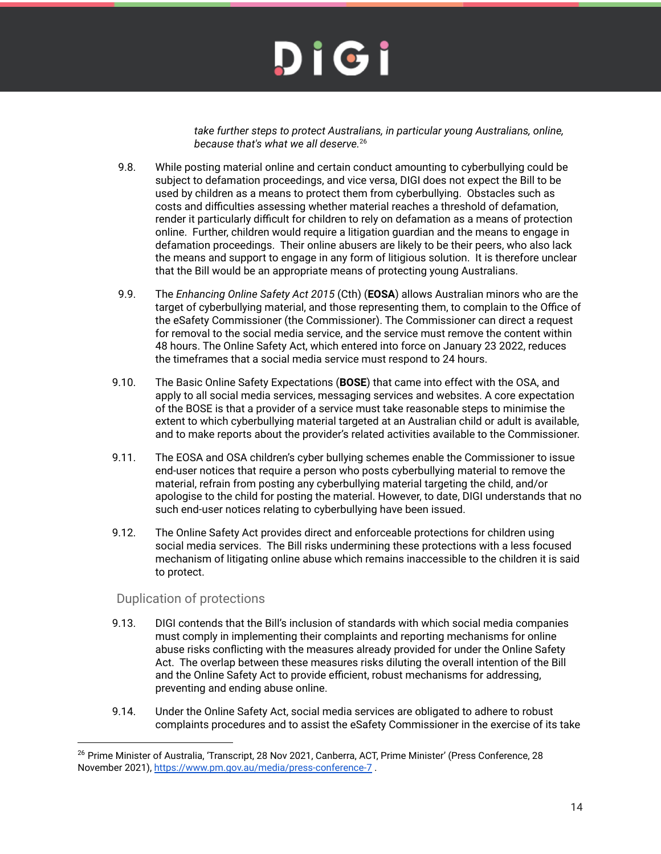*take further steps to protect Australians, in particular young Australians, online, because that's what we all deserve.* 26

- 9.8. While posting material online and certain conduct amounting to cyberbullying could be subject to defamation proceedings, and vice versa, DIGI does not expect the Bill to be used by children as a means to protect them from cyberbullying. Obstacles such as costs and difficulties assessing whether material reaches a threshold of defamation, render it particularly difficult for children to rely on defamation as a means of protection online. Further, children would require a litigation guardian and the means to engage in defamation proceedings. Their online abusers are likely to be their peers, who also lack the means and support to engage in any form of litigious solution. It is therefore unclear that the Bill would be an appropriate means of protecting young Australians.
- 9.9. The *Enhancing Online Safety Act 2015* (Cth) (**EOSA**) allows Australian minors who are the target of cyberbullying material, and those representing them, to complain to the Office of the eSafety Commissioner (the Commissioner). The Commissioner can direct a request for removal to the social media service, and the service must remove the content within 48 hours. The Online Safety Act, which entered into force on January 23 2022, reduces the timeframes that a social media service must respond to 24 hours.
- 9.10. The Basic Online Safety Expectations (**BOSE**) that came into effect with the OSA, and apply to all social media services, messaging services and websites. A core expectation of the BOSE is that a provider of a service must take reasonable steps to minimise the extent to which cyberbullying material targeted at an Australian child or adult is available, and to make reports about the provider's related activities available to the Commissioner.
- 9.11. The EOSA and OSA children's cyber bullying schemes enable the Commissioner to issue end-user notices that require a person who posts cyberbullying material to remove the material, refrain from posting any cyberbullying material targeting the child, and/or apologise to the child for posting the material. However, to date, DIGI understands that no such end-user notices relating to cyberbullying have been issued.
- 9.12. The Online Safety Act provides direct and enforceable protections for children using social media services. The Bill risks undermining these protections with a less focused mechanism of litigating online abuse which remains inaccessible to the children it is said to protect.

#### <span id="page-13-0"></span>Duplication of protections

- 9.13. DIGI contends that the Bill's inclusion of standards with which social media companies must comply in implementing their complaints and reporting mechanisms for online abuse risks conflicting with the measures already provided for under the Online Safety Act. The overlap between these measures risks diluting the overall intention of the Bill and the Online Safety Act to provide efficient, robust mechanisms for addressing, preventing and ending abuse online.
- 9.14. Under the Online Safety Act, social media services are obligated to adhere to robust complaints procedures and to assist the eSafety Commissioner in the exercise of its take

<sup>&</sup>lt;sup>26</sup> Prime Minister of Australia, 'Transcript, 28 Nov 2021, Canberra, ACT, Prime Minister' (Press Conference, 28 November 2021), <https://www.pm.gov.au/media/press-conference-7> .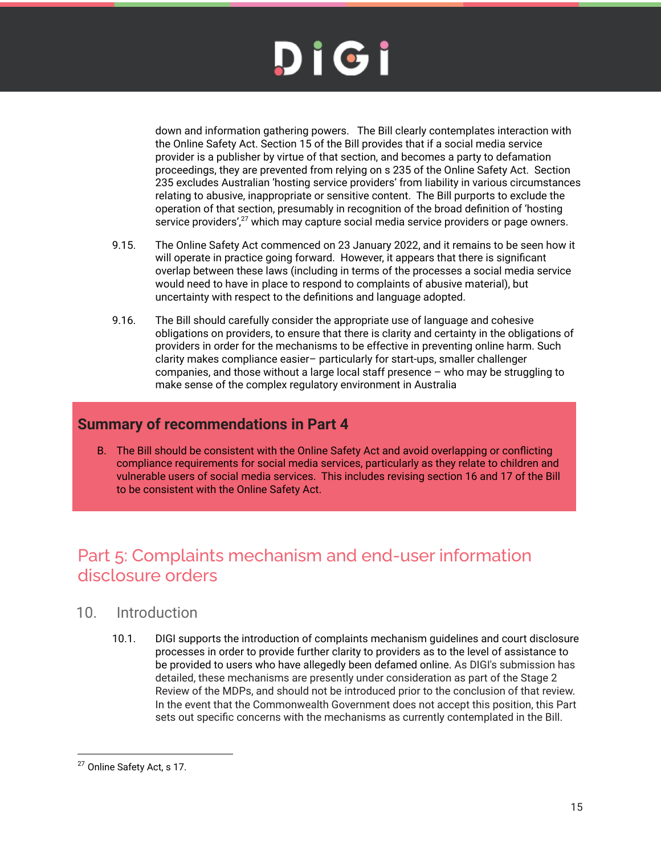

down and information gathering powers. The Bill clearly contemplates interaction with the Online Safety Act. Section 15 of the Bill provides that if a social media service provider is a publisher by virtue of that section, and becomes a party to defamation proceedings, they are prevented from relying on s 235 of the Online Safety Act. Section 235 excludes Australian 'hosting service providers' from liability in various circumstances relating to abusive, inappropriate or sensitive content. The Bill purports to exclude the operation of that section, presumably in recognition of the broad definition of 'hosting service providers', $^{27}$  which may capture social media service providers or page owners.

- 9.15. The Online Safety Act commenced on 23 January 2022, and it remains to be seen how it will operate in practice going forward. However, it appears that there is significant overlap between these laws (including in terms of the processes a social media service would need to have in place to respond to complaints of abusive material), but uncertainty with respect to the definitions and language adopted.
- 9.16. The Bill should carefully consider the appropriate use of language and cohesive obligations on providers, to ensure that there is clarity and certainty in the obligations of providers in order for the mechanisms to be effective in preventing online harm. Such clarity makes compliance easier– particularly for start-ups, smaller challenger companies, and those without a large local staff presence – who may be struggling to make sense of the complex regulatory environment in Australia

### <span id="page-14-0"></span>**Summary of recommendations in Part 4**

B. The Bill should be consistent with the Online Safety Act and avoid overlapping or conflicting compliance requirements for social media services, particularly as they relate to children and vulnerable users of social media services. This includes revising section 16 and 17 of the Bill to be consistent with the Online Safety Act.

### <span id="page-14-1"></span>Part 5: Complaints mechanism and end-user information disclosure orders

### <span id="page-14-2"></span>10. Introduction

10.1. DIGI supports the introduction of complaints mechanism guidelines and court disclosure processes in order to provide further clarity to providers as to the level of assistance to be provided to users who have allegedly been defamed online. As DIGI's submission has detailed, these mechanisms are presently under consideration as part of the Stage 2 Review of the MDPs, and should not be introduced prior to the conclusion of that review. In the event that the Commonwealth Government does not accept this position, this Part sets out specific concerns with the mechanisms as currently contemplated in the Bill.

<sup>&</sup>lt;sup>27</sup> Online Safety Act, s 17.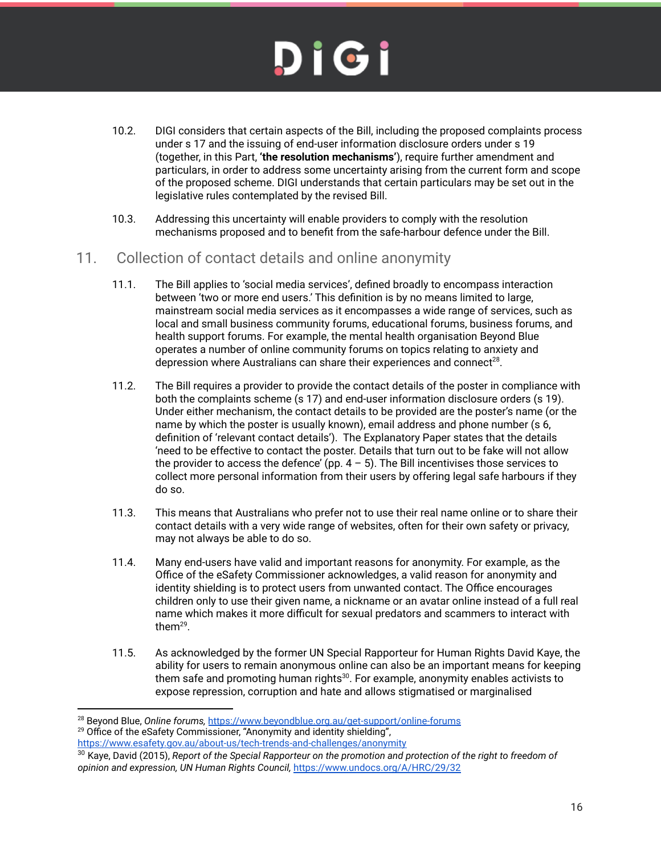- 10.2. DIGI considers that certain aspects of the Bill, including the proposed complaints process under s 17 and the issuing of end-user information disclosure orders under s 19 (together, in this Part, **'the resolution mechanisms'**), require further amendment and particulars, in order to address some uncertainty arising from the current form and scope of the proposed scheme. DIGI understands that certain particulars may be set out in the legislative rules contemplated by the revised Bill.
- 10.3. Addressing this uncertainty will enable providers to comply with the resolution mechanisms proposed and to benefit from the safe-harbour defence under the Bill.
- <span id="page-15-0"></span>11. Collection of contact details and online anonymity
	- 11.1. The Bill applies to 'social media services', defined broadly to encompass interaction between 'two or more end users.' This definition is by no means limited to large, mainstream social media services as it encompasses a wide range of services, such as local and small business community forums, educational forums, business forums, and health support forums. For example, the mental health organisation Beyond Blue operates a number of online community forums on topics relating to anxiety and depression where Australians can share their experiences and connect<sup>28</sup>.
	- 11.2. The Bill requires a provider to provide the contact details of the poster in compliance with both the complaints scheme (s 17) and end-user information disclosure orders (s 19). Under either mechanism, the contact details to be provided are the poster's name (or the name by which the poster is usually known), email address and phone number (s 6, definition of 'relevant contact details'). The Explanatory Paper states that the details 'need to be effective to contact the poster. Details that turn out to be fake will not allow the provider to access the defence' (pp.  $4 - 5$ ). The Bill incentivises those services to collect more personal information from their users by offering legal safe harbours if they do so.
	- 11.3. This means that Australians who prefer not to use their real name online or to share their contact details with a very wide range of websites, often for their own safety or privacy, may not always be able to do so.
	- 11.4. Many end-users have valid and important reasons for anonymity. For example, as the Office of the eSafety Commissioner acknowledges, a valid reason for anonymity and identity shielding is to protect users from unwanted contact. The Office encourages children only to use their given name, a nickname or an avatar online instead of a full real name which makes it more difficult for sexual predators and scammers to interact with them $^{29}$ .
	- 11.5. As acknowledged by the former UN Special Rapporteur for Human Rights David Kaye, the ability for users to remain anonymous online can also be an important means for keeping them safe and promoting human rights $^{30}$ . For example, anonymity enables activists to expose repression, corruption and hate and allows stigmatised or marginalised

<sup>28</sup> Beyond Blue, *Online forums,* <https://www.beyondblue.org.au/get-support/online-forums>

 $29$  Office of the eSafety Commissioner, "Anonymity and identity shielding",

<https://www.esafety.gov.au/about-us/tech-trends-and-challenges/anonymity>

<sup>30</sup> Kaye, David (2015), *Report of the Special Rapporteur on the promotion and protection of the right to freedom of opinion and expression, UN Human Rights Council,* <https://www.undocs.org/A/HRC/29/32>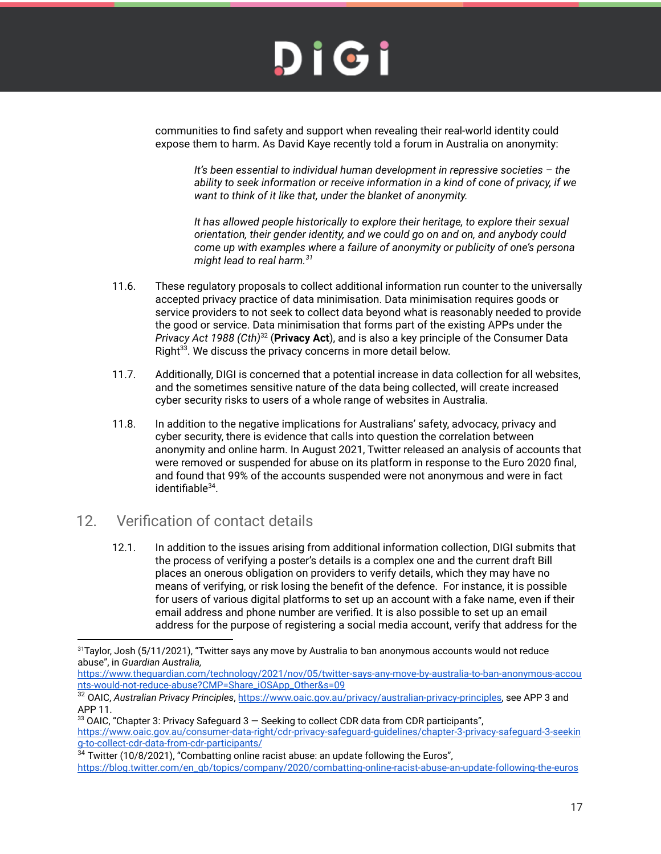communities to find safety and support when revealing their real-world identity could expose them to harm. As David Kaye recently told a forum in Australia on anonymity:

*It's been essential to individual human development in repressive societies – the ability to seek information or receive information in a kind of cone of privacy, if we want to think of it like that, under the blanket of anonymity.*

*It has allowed people historically to explore their heritage, to explore their sexual orientation, their gender identity, and we could go on and on, and anybody could come up with examples where a failure of anonymity or publicity of one's persona might lead to real harm. 31*

- 11.6. These regulatory proposals to collect additional information run counter to the universally accepted privacy practice of data minimisation. Data minimisation requires goods or service providers to not seek to collect data beyond what is reasonably needed to provide the good or service. Data minimisation that forms part of the existing APPs under the Privacy Act 1988 (Cth)<sup>32</sup> (**Privacy Act**), and is also a key principle of the Consumer Data Right<sup>33</sup>. We discuss the privacy concerns in more detail below.
- 11.7. Additionally, DIGI is concerned that a potential increase in data collection for all websites, and the sometimes sensitive nature of the data being collected, will create increased cyber security risks to users of a whole range of websites in Australia.
- 11.8. In addition to the negative implications for Australians' safety, advocacy, privacy and cyber security, there is evidence that calls into question the correlation between anonymity and online harm. In August 2021, Twitter released an analysis of accounts that were removed or suspended for abuse on its platform in response to the Euro 2020 final, and found that 99% of the accounts suspended were not anonymous and were in fact identifiable<sup>34</sup>.

### <span id="page-16-0"></span>12. Verification of contact details

12.1. In addition to the issues arising from additional information collection, DIGI submits that the process of verifying a poster's details is a complex one and the current draft Bill places an onerous obligation on providers to verify details, which they may have no means of verifying, or risk losing the benefit of the defence. For instance, it is possible for users of various digital platforms to set up an account with a fake name, even if their email address and phone number are verified. It is also possible to set up an email address for the purpose of registering a social media account, verify that address for the

<sup>&</sup>lt;sup>31</sup>Taylor, Josh (5/11/2021), "Twitter says any move by Australia to ban anonymous accounts would not reduce abuse", in *Guardian Australia,*

[https://www.theguardian.com/technology/2021/nov/05/twitter-says-any-move-by-australia-to-ban-anonymous-accou](https://www.theguardian.com/technology/2021/nov/05/twitter-says-any-move-by-australia-to-ban-anonymous-accounts-would-not-reduce-abuse?CMP=Share_iOSApp_Other&s=09) [nts-would-not-reduce-abuse?CMP=Share\\_iOSApp\\_Other&s=09](https://www.theguardian.com/technology/2021/nov/05/twitter-says-any-move-by-australia-to-ban-anonymous-accounts-would-not-reduce-abuse?CMP=Share_iOSApp_Other&s=09)

<sup>32</sup> OAIC, *Australian Privacy Principles*, [https://www.oaic.gov.au/privacy/australian-privacy-principles,](https://www.oaic.gov.au/privacy/australian-privacy-principles) see APP 3 and APP 11.

 $33$  OAIC, "Chapter 3: Privacy Safeguard  $3 -$  Seeking to collect CDR data from CDR participants", [https://www.oaic.gov.au/consumer-data-right/cdr-privacy-safeguard-guidelines/chapter-3-privacy-safeguard-3-seekin](https://www.oaic.gov.au/consumer-data-right/cdr-privacy-safeguard-guidelines/chapter-3-privacy-safeguard-3-seeking-to-collect-cdr-data-from-cdr-participants/) [g-to-collect-cdr-data-from-cdr-participants/](https://www.oaic.gov.au/consumer-data-right/cdr-privacy-safeguard-guidelines/chapter-3-privacy-safeguard-3-seeking-to-collect-cdr-data-from-cdr-participants/)

 $34$  Twitter (10/8/2021), "Combatting online racist abuse: an update following the Euros", [https://blog.twitter.com/en\\_gb/topics/company/2020/combatting-online-racist-abuse-an-update-following-the-euros](https://blog.twitter.com/en_gb/topics/company/2020/combatting-online-racist-abuse-an-update-following-the-euros)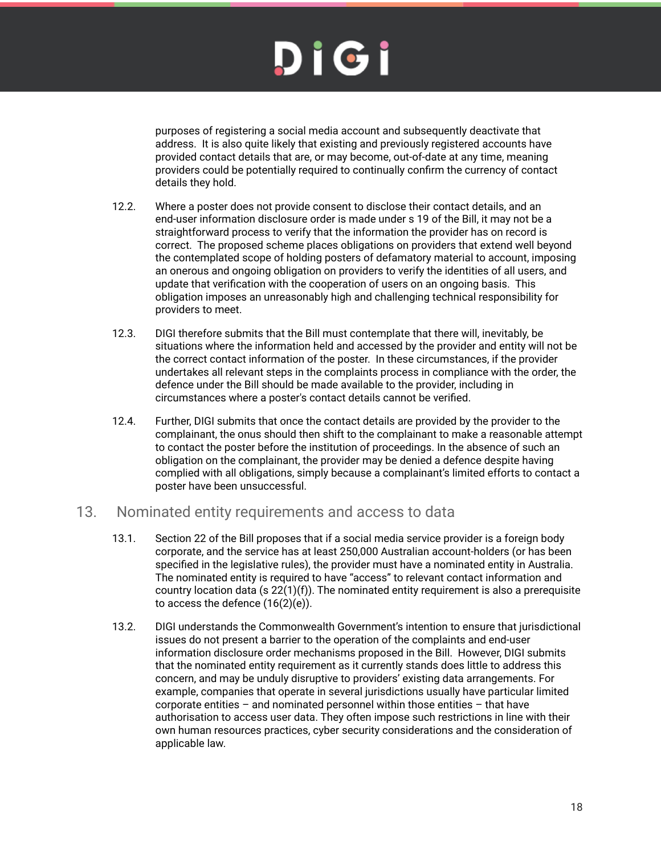# DIGI

purposes of registering a social media account and subsequently deactivate that address. It is also quite likely that existing and previously registered accounts have provided contact details that are, or may become, out-of-date at any time, meaning providers could be potentially required to continually confirm the currency of contact details they hold.

- 12.2. Where a poster does not provide consent to disclose their contact details, and an end-user information disclosure order is made under s 19 of the Bill, it may not be a straightforward process to verify that the information the provider has on record is correct. The proposed scheme places obligations on providers that extend well beyond the contemplated scope of holding posters of defamatory material to account, imposing an onerous and ongoing obligation on providers to verify the identities of all users, and update that verification with the cooperation of users on an ongoing basis. This obligation imposes an unreasonably high and challenging technical responsibility for providers to meet.
- 12.3. DIGI therefore submits that the Bill must contemplate that there will, inevitably, be situations where the information held and accessed by the provider and entity will not be the correct contact information of the poster. In these circumstances, if the provider undertakes all relevant steps in the complaints process in compliance with the order, the defence under the Bill should be made available to the provider, including in circumstances where a poster's contact details cannot be verified.
- 12.4. Further, DIGI submits that once the contact details are provided by the provider to the complainant, the onus should then shift to the complainant to make a reasonable attempt to contact the poster before the institution of proceedings. In the absence of such an obligation on the complainant, the provider may be denied a defence despite having complied with all obligations, simply because a complainant's limited efforts to contact a poster have been unsuccessful.

### <span id="page-17-0"></span>13. Nominated entity requirements and access to data

- 13.1. Section 22 of the Bill proposes that if a social media service provider is a foreign body corporate, and the service has at least 250,000 Australian account-holders (or has been specified in the legislative rules), the provider must have a nominated entity in Australia. The nominated entity is required to have "access" to relevant contact information and country location data (s  $22(1)(f)$ ). The nominated entity requirement is also a prerequisite to access the defence (16(2)(e)).
- 13.2. DIGI understands the Commonwealth Government's intention to ensure that jurisdictional issues do not present a barrier to the operation of the complaints and end-user information disclosure order mechanisms proposed in the Bill. However, DIGI submits that the nominated entity requirement as it currently stands does little to address this concern, and may be unduly disruptive to providers' existing data arrangements. For example, companies that operate in several jurisdictions usually have particular limited corporate entities – and nominated personnel within those entities – that have authorisation to access user data. They often impose such restrictions in line with their own human resources practices, cyber security considerations and the consideration of applicable law.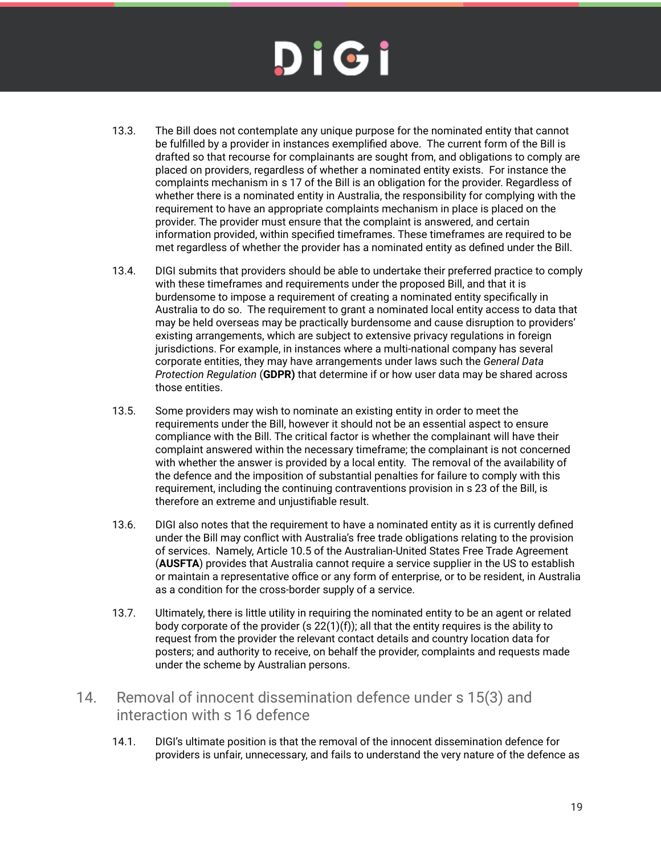- 13.3. The Bill does not contemplate any unique purpose for the nominated entity that cannot be fulfilled by a provider in instances exemplified above. The current form of the Bill is drafted so that recourse for complainants are sought from, and obligations to comply are placed on providers, regardless of whether a nominated entity exists. For instance the complaints mechanism in s 17 of the Bill is an obligation for the provider. Regardless of whether there is a nominated entity in Australia, the responsibility for complying with the requirement to have an appropriate complaints mechanism in place is placed on the provider. The provider must ensure that the complaint is answered, and certain information provided, within specified timeframes. These timeframes are required to be met regardless of whether the provider has a nominated entity as defined under the Bill.
- 13.4. DIGI submits that providers should be able to undertake their preferred practice to comply with these timeframes and requirements under the proposed Bill, and that it is burdensome to impose a requirement of creating a nominated entity specifically in Australia to do so. The requirement to grant a nominated local entity access to data that may be held overseas may be practically burdensome and cause disruption to providers' existing arrangements, which are subject to extensive privacy regulations in foreign jurisdictions. For example, in instances where a multi-national company has several corporate entities, they may have arrangements under laws such the *General Data Protection Regulation* (**GDPR)** that determine if or how user data may be shared across those entities.
- 13.5. Some providers may wish to nominate an existing entity in order to meet the requirements under the Bill, however it should not be an essential aspect to ensure compliance with the Bill. The critical factor is whether the complainant will have their complaint answered within the necessary timeframe; the complainant is not concerned with whether the answer is provided by a local entity. The removal of the availability of the defence and the imposition of substantial penalties for failure to comply with this requirement, including the continuing contraventions provision in s 23 of the Bill, is therefore an extreme and unjustifiable result.
- 13.6. DIGI also notes that the requirement to have a nominated entity as it is currently defined under the Bill may conflict with Australia's free trade obligations relating to the provision of services. Namely, Article 10.5 of the Australian-United States Free Trade Agreement (**AUSFTA**) provides that Australia cannot require a service supplier in the US to establish or maintain a representative office or any form of enterprise, or to be resident, in Australia as a condition for the cross-border supply of a service.
- 13.7. Ultimately, there is little utility in requiring the nominated entity to be an agent or related body corporate of the provider (s  $22(1)(f)$ ); all that the entity requires is the ability to request from the provider the relevant contact details and country location data for posters; and authority to receive, on behalf the provider, complaints and requests made under the scheme by Australian persons.
- <span id="page-18-0"></span>14. Removal of innocent dissemination defence under s 15(3) and interaction with s 16 defence
	- 14.1. DIGI's ultimate position is that the removal of the innocent dissemination defence for providers is unfair, unnecessary, and fails to understand the very nature of the defence as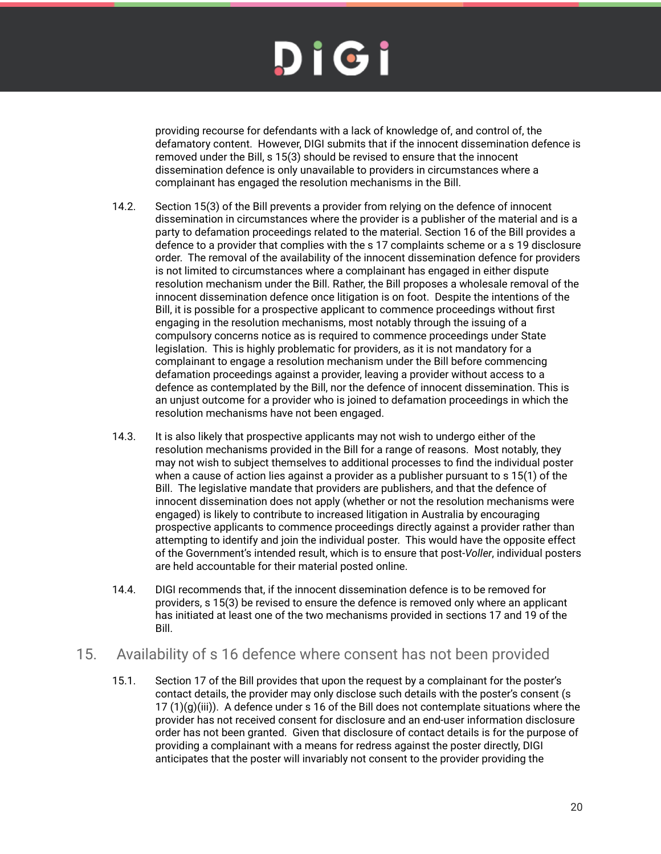# DIGI

providing recourse for defendants with a lack of knowledge of, and control of, the defamatory content. However, DIGI submits that if the innocent dissemination defence is removed under the Bill, s 15(3) should be revised to ensure that the innocent dissemination defence is only unavailable to providers in circumstances where a complainant has engaged the resolution mechanisms in the Bill.

- 14.2. Section 15(3) of the Bill prevents a provider from relying on the defence of innocent dissemination in circumstances where the provider is a publisher of the material and is a party to defamation proceedings related to the material. Section 16 of the Bill provides a defence to a provider that complies with the s 17 complaints scheme or a s 19 disclosure order. The removal of the availability of the innocent dissemination defence for providers is not limited to circumstances where a complainant has engaged in either dispute resolution mechanism under the Bill. Rather, the Bill proposes a wholesale removal of the innocent dissemination defence once litigation is on foot. Despite the intentions of the Bill, it is possible for a prospective applicant to commence proceedings without first engaging in the resolution mechanisms, most notably through the issuing of a compulsory concerns notice as is required to commence proceedings under State legislation. This is highly problematic for providers, as it is not mandatory for a complainant to engage a resolution mechanism under the Bill before commencing defamation proceedings against a provider, leaving a provider without access to a defence as contemplated by the Bill, nor the defence of innocent dissemination. This is an unjust outcome for a provider who is joined to defamation proceedings in which the resolution mechanisms have not been engaged.
- 14.3. It is also likely that prospective applicants may not wish to undergo either of the resolution mechanisms provided in the Bill for a range of reasons. Most notably, they may not wish to subject themselves to additional processes to find the individual poster when a cause of action lies against a provider as a publisher pursuant to s 15(1) of the Bill. The legislative mandate that providers are publishers, and that the defence of innocent dissemination does not apply (whether or not the resolution mechanisms were engaged) is likely to contribute to increased litigation in Australia by encouraging prospective applicants to commence proceedings directly against a provider rather than attempting to identify and join the individual poster. This would have the opposite effect of the Government's intended result, which is to ensure that post-*Voller*, individual posters are held accountable for their material posted online.
- 14.4. DIGI recommends that, if the innocent dissemination defence is to be removed for providers, s 15(3) be revised to ensure the defence is removed only where an applicant has initiated at least one of the two mechanisms provided in sections 17 and 19 of the Bill.

### <span id="page-19-0"></span>15. Availability of s 16 defence where consent has not been provided

15.1. Section 17 of the Bill provides that upon the request by a complainant for the poster's contact details, the provider may only disclose such details with the poster's consent (s  $17 (1)(q)(iii)$ . A defence under s 16 of the Bill does not contemplate situations where the provider has not received consent for disclosure and an end-user information disclosure order has not been granted. Given that disclosure of contact details is for the purpose of providing a complainant with a means for redress against the poster directly, DIGI anticipates that the poster will invariably not consent to the provider providing the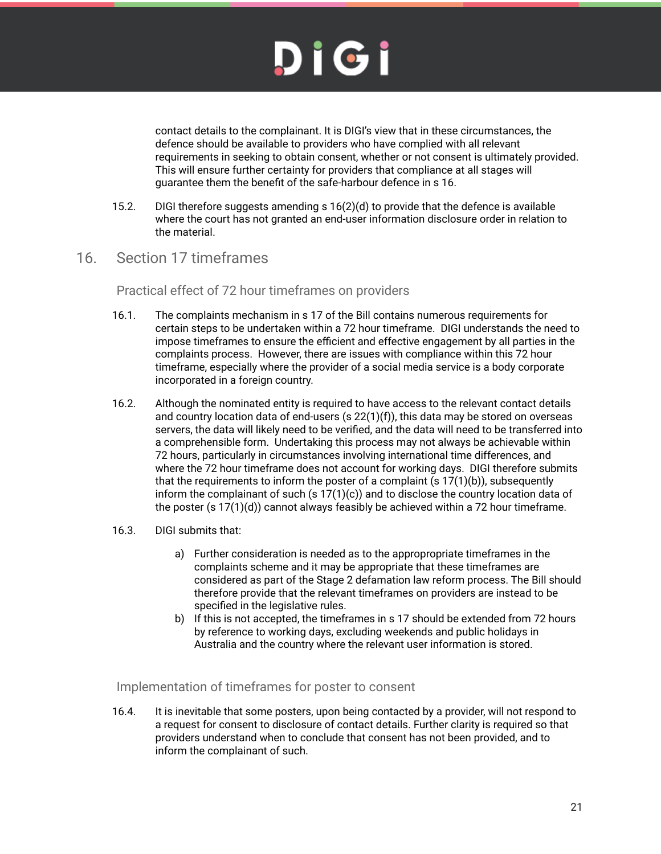

contact details to the complainant. It is DIGI's view that in these circumstances, the defence should be available to providers who have complied with all relevant requirements in seeking to obtain consent, whether or not consent is ultimately provided. This will ensure further certainty for providers that compliance at all stages will guarantee them the benefit of the safe-harbour defence in s 16.

- 15.2. DIGI therefore suggests amending s 16(2)(d) to provide that the defence is available where the court has not granted an end-user information disclosure order in relation to the material.
- <span id="page-20-1"></span><span id="page-20-0"></span>16. Section 17 timeframes

#### Practical effect of 72 hour timeframes on providers

- 16.1. The complaints mechanism in s 17 of the Bill contains numerous requirements for certain steps to be undertaken within a 72 hour timeframe. DIGI understands the need to impose timeframes to ensure the efficient and effective engagement by all parties in the complaints process. However, there are issues with compliance within this 72 hour timeframe, especially where the provider of a social media service is a body corporate incorporated in a foreign country.
- 16.2. Although the nominated entity is required to have access to the relevant contact details and country location data of end-users  $(s 22(1)(f))$ , this data may be stored on overseas servers, the data will likely need to be verified, and the data will need to be transferred into a comprehensible form. Undertaking this process may not always be achievable within 72 hours, particularly in circumstances involving international time differences, and where the 72 hour timeframe does not account for working days. DIGI therefore submits that the requirements to inform the poster of a complaint  $(s 17(1)(b))$ , subsequently inform the complainant of such  $(s 17(1)(c))$  and to disclose the country location data of the poster  $(s 17(1)(d))$  cannot always feasibly be achieved within a 72 hour timeframe.
- 16.3. DIGI submits that:
	- a) Further consideration is needed as to the appropropriate timeframes in the complaints scheme and it may be appropriate that these timeframes are considered as part of the Stage 2 defamation law reform process. The Bill should therefore provide that the relevant timeframes on providers are instead to be specified in the legislative rules.
	- b) If this is not accepted, the timeframes in s 17 should be extended from 72 hours by reference to working days, excluding weekends and public holidays in Australia and the country where the relevant user information is stored.

<span id="page-20-2"></span>Implementation of timeframes for poster to consent

16.4. It is inevitable that some posters, upon being contacted by a provider, will not respond to a request for consent to disclosure of contact details. Further clarity is required so that providers understand when to conclude that consent has not been provided, and to inform the complainant of such.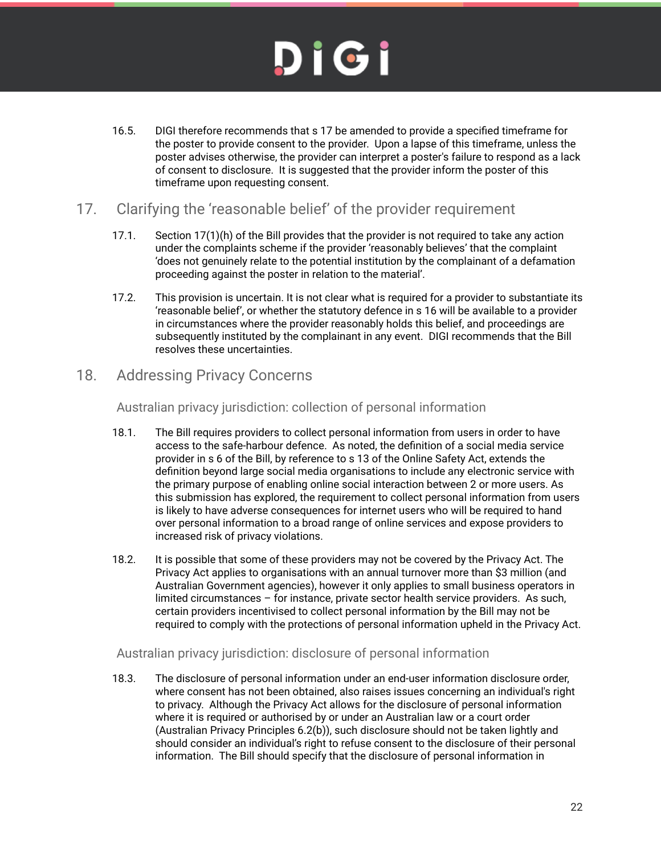# DIGI

16.5. DIGI therefore recommends that s 17 be amended to provide a specified timeframe for the poster to provide consent to the provider. Upon a lapse of this timeframe, unless the poster advises otherwise, the provider can interpret a poster's failure to respond as a lack of consent to disclosure. It is suggested that the provider inform the poster of this timeframe upon requesting consent.

### <span id="page-21-0"></span>17. Clarifying the 'reasonable belief' of the provider requirement

- 17.1. Section 17(1)(h) of the Bill provides that the provider is not required to take any action under the complaints scheme if the provider 'reasonably believes' that the complaint 'does not genuinely relate to the potential institution by the complainant of a defamation proceeding against the poster in relation to the material'.
- 17.2. This provision is uncertain. It is not clear what is required for a provider to substantiate its 'reasonable belief', or whether the statutory defence in s 16 will be available to a provider in circumstances where the provider reasonably holds this belief, and proceedings are subsequently instituted by the complainant in any event. DIGI recommends that the Bill resolves these uncertainties.

### <span id="page-21-2"></span><span id="page-21-1"></span>18. Addressing Privacy Concerns

Australian privacy jurisdiction: collection of personal information

- 18.1. The Bill requires providers to collect personal information from users in order to have access to the safe-harbour defence. As noted, the definition of a social media service provider in s 6 of the Bill, by reference to s 13 of the Online Safety Act, extends the definition beyond large social media organisations to include any electronic service with the primary purpose of enabling online social interaction between 2 or more users. As this submission has explored, the requirement to collect personal information from users is likely to have adverse consequences for internet users who will be required to hand over personal information to a broad range of online services and expose providers to increased risk of privacy violations.
- 18.2. It is possible that some of these providers may not be covered by the Privacy Act. The Privacy Act applies to organisations with an annual turnover more than \$3 million (and Australian Government agencies), however it only applies to small business operators in limited circumstances – for instance, private sector health service providers. As such, certain providers incentivised to collect personal information by the Bill may not be required to comply with the protections of personal information upheld in the Privacy Act.

#### <span id="page-21-3"></span>Australian privacy jurisdiction: disclosure of personal information

18.3. The disclosure of personal information under an end-user information disclosure order, where consent has not been obtained, also raises issues concerning an individual's right to privacy. Although the Privacy Act allows for the disclosure of personal information where it is required or authorised by or under an Australian law or a court order (Australian Privacy Principles 6.2(b)), such disclosure should not be taken lightly and should consider an individual's right to refuse consent to the disclosure of their personal information. The Bill should specify that the disclosure of personal information in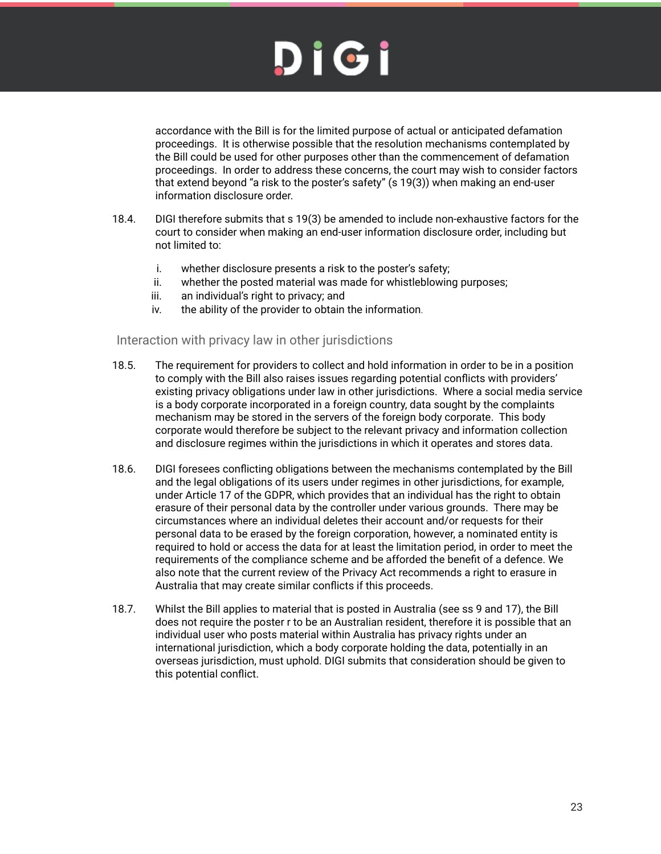

accordance with the Bill is for the limited purpose of actual or anticipated defamation proceedings. It is otherwise possible that the resolution mechanisms contemplated by the Bill could be used for other purposes other than the commencement of defamation proceedings. In order to address these concerns, the court may wish to consider factors that extend beyond "a risk to the poster's safety" (s 19(3)) when making an end-user information disclosure order.

- 18.4. DIGI therefore submits that s 19(3) be amended to include non-exhaustive factors for the court to consider when making an end-user information disclosure order, including but not limited to:
	- i. whether disclosure presents a risk to the poster's safety;
	- ii. whether the posted material was made for whistleblowing purposes;
	- iii. an individual's right to privacy; and
	- iv. the ability of the provider to obtain the information.

#### <span id="page-22-0"></span>Interaction with privacy law in other jurisdictions

- 18.5. The requirement for providers to collect and hold information in order to be in a position to comply with the Bill also raises issues regarding potential conflicts with providers' existing privacy obligations under law in other jurisdictions. Where a social media service is a body corporate incorporated in a foreign country, data sought by the complaints mechanism may be stored in the servers of the foreign body corporate. This body corporate would therefore be subject to the relevant privacy and information collection and disclosure regimes within the jurisdictions in which it operates and stores data.
- 18.6. DIGI foresees conflicting obligations between the mechanisms contemplated by the Bill and the legal obligations of its users under regimes in other jurisdictions, for example, under Article 17 of the GDPR, which provides that an individual has the right to obtain erasure of their personal data by the controller under various grounds. There may be circumstances where an individual deletes their account and/or requests for their personal data to be erased by the foreign corporation, however, a nominated entity is required to hold or access the data for at least the limitation period, in order to meet the requirements of the compliance scheme and be afforded the benefit of a defence. We also note that the current review of the Privacy Act recommends a right to erasure in Australia that may create similar conflicts if this proceeds.
- 18.7. Whilst the Bill applies to material that is posted in Australia (see ss 9 and 17), the Bill does not require the poster r to be an Australian resident, therefore it is possible that an individual user who posts material within Australia has privacy rights under an international jurisdiction, which a body corporate holding the data, potentially in an overseas jurisdiction, must uphold. DIGI submits that consideration should be given to this potential conflict.